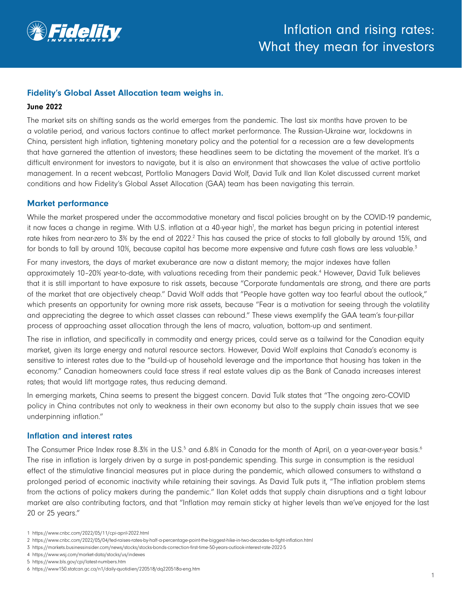

# Fidelity's Global Asset Allocation team weighs in.

#### June 2022

The market sits on shifting sands as the world emerges from the pandemic. The last six months have proven to be a volatile period, and various factors continue to affect market performance. The Russian-Ukraine war, lockdowns in China, persistent high inflation, tightening monetary policy and the potential for a recession are a few developments that have garnered the attention of investors; these headlines seem to be dictating the movement of the market. It's a difficult environment for investors to navigate, but it is also an environment that showcases the value of active portfolio management. In a recent webcast, Portfolio Managers David Wolf, David Tulk and Ilan Kolet discussed current market conditions and how Fidelity's Global Asset Allocation (GAA) team has been navigating this terrain.

### Market performance

While the market prospered under the accommodative monetary and fiscal policies brought on by the COVID-19 pandemic, it now faces a change in regime. With U.S. inflation at a 40-year high<sup>1</sup>, the market has begun pricing in potential interest rate hikes from near-zero to 3% by the end of 2022.<sup>2</sup> This has caused the price of stocks to fall globally by around 15%, and for bonds to fall by around 10%, because capital has become more expensive and future cash flows are less valuable.<sup>3</sup>

For many investors, the days of market exuberance are now a distant memory; the major indexes have fallen approximately 10-20% year-to-date, with valuations receding from their pandemic peak.<sup>4</sup> However, David Tulk believes that it is still important to have exposure to risk assets, because "Corporate fundamentals are strong, and there are parts of the market that are objectively cheap." David Wolf adds that "People have gotten way too fearful about the outlook," which presents an opportunity for owning more risk assets, because "Fear is a motivation for seeing through the volatility and appreciating the degree to which asset classes can rebound." These views exemplify the GAA team's four-pillar process of approaching asset allocation through the lens of macro, valuation, bottom-up and sentiment.

The rise in inflation, and specifically in commodity and energy prices, could serve as a tailwind for the Canadian equity market, given its large energy and natural resource sectors. However, David Wolf explains that Canada's economy is sensitive to interest rates due to the "build-up of household leverage and the importance that housing has taken in the economy." Canadian homeowners could face stress if real estate values dip as the Bank of Canada increases interest rates; that would lift mortgage rates, thus reducing demand.

In emerging markets, China seems to present the biggest concern. David Tulk states that "The ongoing zero-COVID policy in China contributes not only to weakness in their own economy but also to the supply chain issues that we see underpinning inflation."

#### Inflation and interest rates

The Consumer Price Index rose 8.3% in the U.S.<sup>5</sup> and 6.8% in Canada for the month of April, on a year-over-year basis.<sup>6</sup> The rise in inflation is largely driven by a surge in post-pandemic spending. This surge in consumption is the residual effect of the stimulative financial measures put in place during the pandemic, which allowed consumers to withstand a prolonged period of economic inactivity while retaining their savings. As David Tulk puts it, "The inflation problem stems from the actions of policy makers during the pandemic." Ilan Kolet adds that supply chain disruptions and a tight labour market are also contributing factors, and that "Inflation may remain sticky at higher levels than we've enjoyed for the last 20 or 25 years."

<sup>1</sup> https://www.cnbc.com/2022/05/11/cpi-april-2022.html

<sup>2</sup> https://www.cnbc.com/2022/05/04/fed-raises-rates-by-half-a-percentage-point-the-biggest-hike-in-two-decades-to-fight-inflation.html

<sup>3</sup> https://markets.businessinsider.com/news/stocks/stocks-bonds-correction-first-time-50-years-outlook-interest-rate-2022-5

<sup>4</sup> https://www.wsj.com/market-data/stocks/us/indexes

<sup>5</sup> https://www.bls.gov/cpi/latest-numbers.htm

<sup>6</sup> https://www150.statcan.gc.ca/n1/daily-quotidien/220518/dq220518a-eng.htm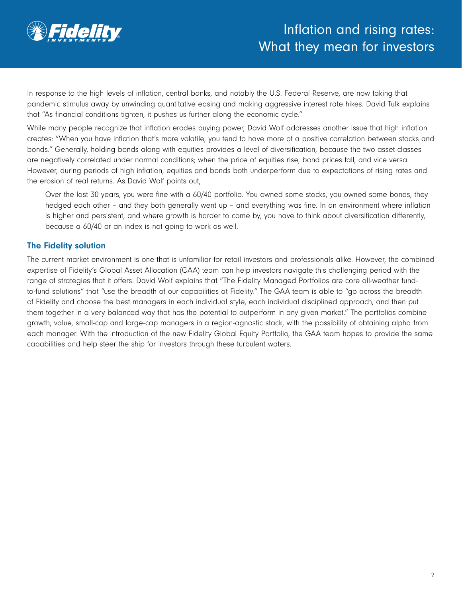

In response to the high levels of inflation, central banks, and notably the U.S. Federal Reserve, are now taking that pandemic stimulus away by unwinding quantitative easing and making aggressive interest rate hikes. David Tulk explains that "As financial conditions tighten, it pushes us further along the economic cycle."

While many people recognize that inflation erodes buying power, David Wolf addresses another issue that high inflation creates: "When you have inflation that's more volatile, you tend to have more of a positive correlation between stocks and bonds." Generally, holding bonds along with equities provides a level of diversification, because the two asset classes are negatively correlated under normal conditions; when the price of equities rise, bond prices fall, and vice versa. However, during periods of high inflation, equities and bonds both underperform due to expectations of rising rates and the erosion of real returns. As David Wolf points out,

Over the last 30 years, you were fine with a 60/40 portfolio. You owned some stocks, you owned some bonds, they hedged each other – and they both generally went up – and everything was fine. In an environment where inflation is higher and persistent, and where growth is harder to come by, you have to think about diversification differently, because a 60/40 or an index is not going to work as well.

# The Fidelity solution

The current market environment is one that is unfamiliar for retail investors and professionals alike. However, the combined expertise of Fidelity's Global Asset Allocation (GAA) team can help investors navigate this challenging period with the range of strategies that it offers. David Wolf explains that "The Fidelity Managed Portfolios are core all-weather fundto-fund solutions" that "use the breadth of our capabilities at Fidelity." The GAA team is able to "go across the breadth of Fidelity and choose the best managers in each individual style, each individual disciplined approach, and then put them together in a very balanced way that has the potential to outperform in any given market." The portfolios combine growth, value, small-cap and large-cap managers in a region-agnostic stack, with the possibility of obtaining alpha from each manager. With the introduction of the new Fidelity Global Equity Portfolio, the GAA team hopes to provide the same capabilities and help steer the ship for investors through these turbulent waters.